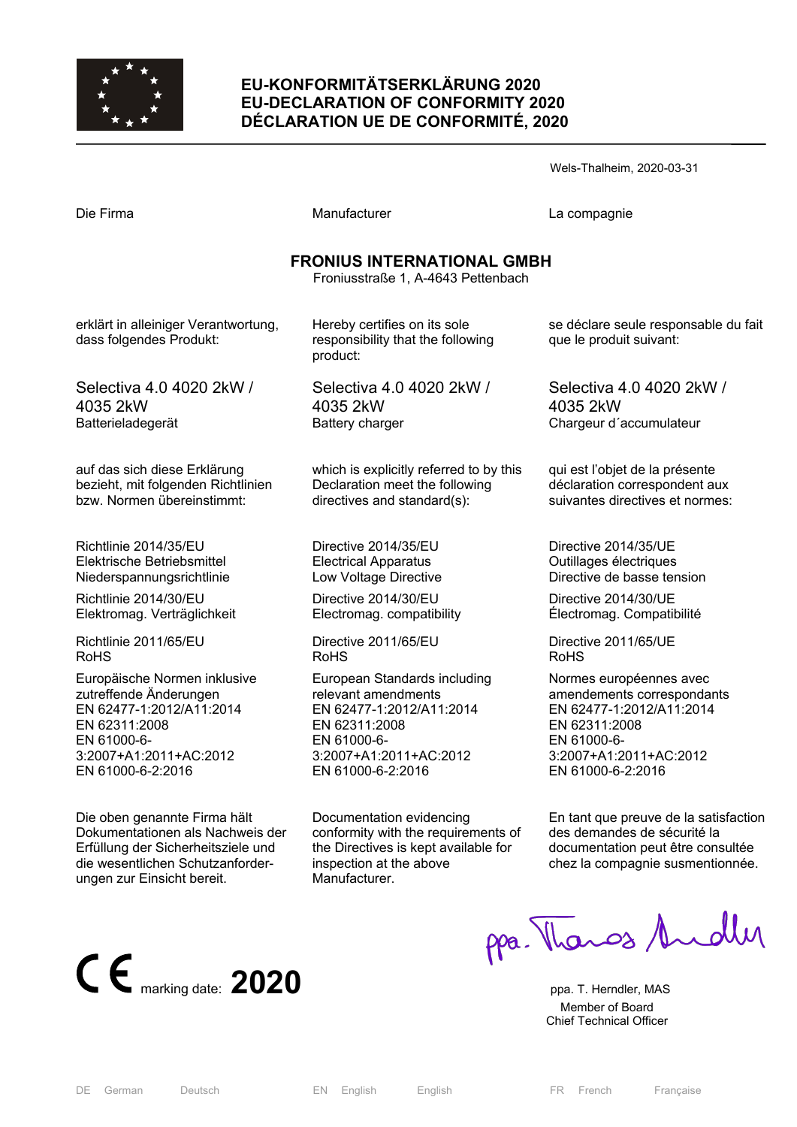

# **EU-KONFORMITÄTSERKLÄRUNG 2020 EU-DECLARATION OF CONFORMITY 2020 DÉCLARATION UE DE CONFORMITÉ, 2020**

Wels-Thalheim, 2020-03-31 Die Firma Manufacturer La compagnie **FRONIUS INTERNATIONAL GMBH**  Froniusstraße 1, A-4643 Pettenbach erklärt in alleiniger Verantwortung, dass folgendes Produkt: Selectiva 4.0 4020 2kW / 4035 2kW Batterieladegerät auf das sich diese Erklärung bezieht, mit folgenden Richtlinien bzw. Normen übereinstimmt: Richtlinie 2014/35/EU Elektrische Betriebsmittel Niederspannungsrichtlinie Richtlinie 2014/30/EU Elektromag. Verträglichkeit Richtlinie 2011/65/EU RoHS Hereby certifies on its sole responsibility that the following product: Selectiva 4.0 4020 2kW / 4035 2kW Battery charger which is explicitly referred to by this Declaration meet the following directives and standard(s): Directive 2014/35/EU Electrical Apparatus Low Voltage Directive Directive 2014/30/EU Electromag. compatibility Directive 2011/65/EU RoHS se déclare seule responsable du fait que le produit suivant: Selectiva 4.0 4020 2kW / 4035 2kW Chargeur d´accumulateur qui est l'objet de la présente déclaration correspondent aux suivantes directives et normes: Directive 2014/35/UE Outillages électriques Directive de basse tension Directive 2014/30/UE Électromag. Compatibilité Directive 2011/65/UE RoHS

Europäische Normen inklusive zutreffende Änderungen EN 62477-1:2012/A11:2014 EN 62311:2008 EN 61000-6- 3:2007+A1:2011+AC:2012 EN 61000-6-2:2016

Die oben genannte Firma hält Dokumentationen als Nachweis der Erfüllung der Sicherheitsziele und die wesentlichen Schutzanforderungen zur Einsicht bereit.



European Standards including relevant amendments EN 62477-1:2012/A11:2014 EN 62311:2008 EN 61000-6- 3:2007+A1:2011+AC:2012 EN 61000-6-2:2016

Documentation evidencing conformity with the requirements of the Directives is kept available for inspection at the above Manufacturer.

Normes européennes avec amendements correspondants EN 62477-1:2012/A11:2014 EN 62311:2008 EN 61000-6- 3:2007+A1:2011+AC:2012 EN 61000-6-2:2016

En tant que preuve de la satisfaction des demandes de sécurité la documentation peut être consultée chez la compagnie susmentionnée.

ppa. Thangs Andly

 Member of Board Chief Technical Officer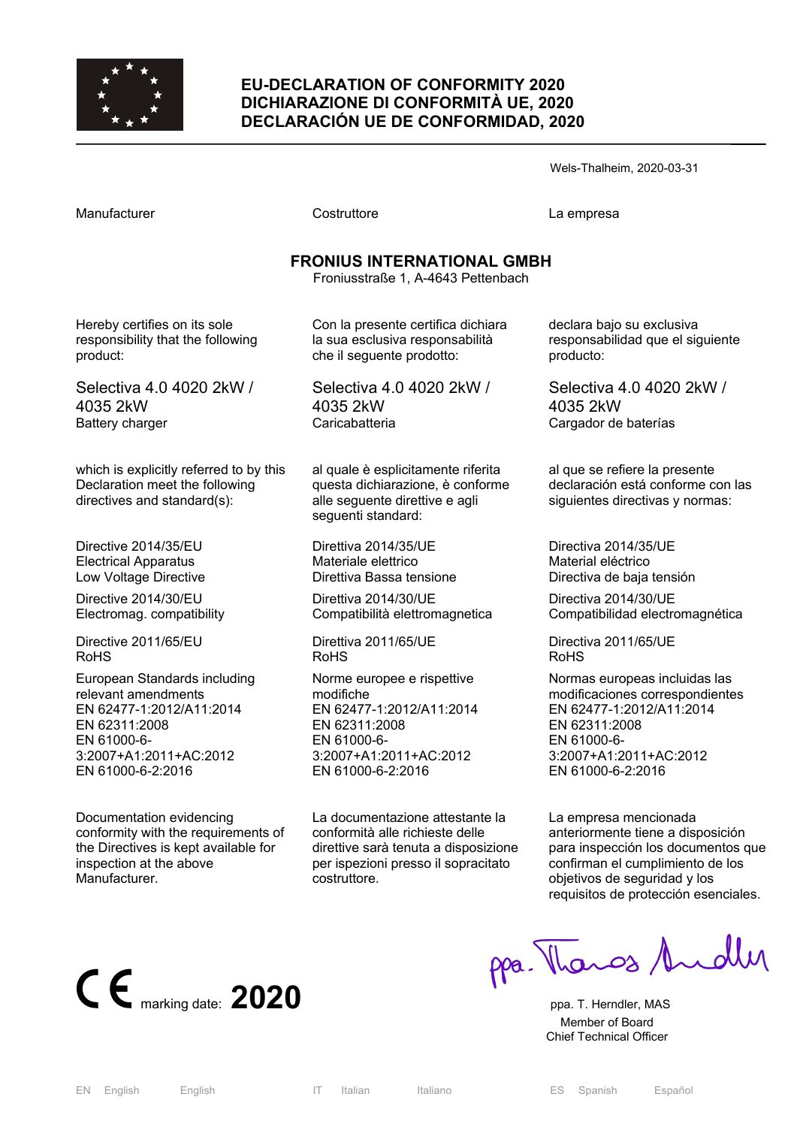

## **EU-DECLARATION OF CONFORMITY 2020 DICHIARAZIONE DI CONFORMITÀ UE, 2020 DECLARACIÓN UE DE CONFORMIDAD, 2020**

Wels-Thalheim, 2020-03-31

Costruttore **Costruttore** La empresa

# **FRONIUS INTERNATIONAL GMBH**

Froniusstraße 1, A-4643 Pettenbach

Hereby certifies on its sole responsibility that the following product:

Selectiva 4.0 4020 2kW / 4035 2kW Battery charger

which is explicitly referred to by this Declaration meet the following directives and standard(s):

Directive 2014/35/EU Electrical Apparatus Low Voltage Directive

Directive 2014/30/EU Electromag. compatibility

Directive 2011/65/EU RoHS

European Standards including relevant amendments EN 62477-1:2012/A11:2014 EN 62311:2008 EN 61000-6- 3:2007+A1:2011+AC:2012 EN 61000-6-2:2016

Documentation evidencing conformity with the requirements of the Directives is kept available for inspection at the above Manufacturer.

Con la presente certifica dichiara la sua esclusiva responsabilità che il seguente prodotto:

Selectiva 4.0 4020 2kW / 4035 2kW **Caricabatteria** 

al quale è esplicitamente riferita questa dichiarazione, è conforme alle seguente direttive e agli seguenti standard:

Direttiva 2014/35/UE Materiale elettrico Direttiva Bassa tensione

Direttiva 2014/30/UE Compatibilità elettromagnetica

Direttiva 2011/65/UE RoHS

Norme europee e rispettive modifiche EN 62477-1:2012/A11:2014 EN 62311:2008 EN 61000-6- 3:2007+A1:2011+AC:2012 EN 61000-6-2:2016

La documentazione attestante la conformità alle richieste delle direttive sarà tenuta a disposizione per ispezioni presso il sopracitato costruttore.

declara bajo su exclusiva responsabilidad que el siguiente producto:

Selectiva 4.0 4020 2kW / 4035 2kW Cargador de baterías

al que se refiere la presente declaración está conforme con las siguientes directivas y normas:

Directiva 2014/35/UE Material eléctrico Directiva de baja tensión

Directiva 2014/30/UE Compatibilidad electromagnética

Directiva 2011/65/UE RoHS

Normas europeas incluidas las modificaciones correspondientes EN 62477-1:2012/A11:2014 EN 62311:2008 EN 61000-6- 3:2007+A1:2011+AC:2012 EN 61000-6-2:2016

La empresa mencionada anteriormente tiene a disposición para inspección los documentos que confirman el cumplimiento de los objetivos de seguridad y los requisitos de protección esenciales.



ppa. Thanos Andley

 Member of Board Chief Technical Officer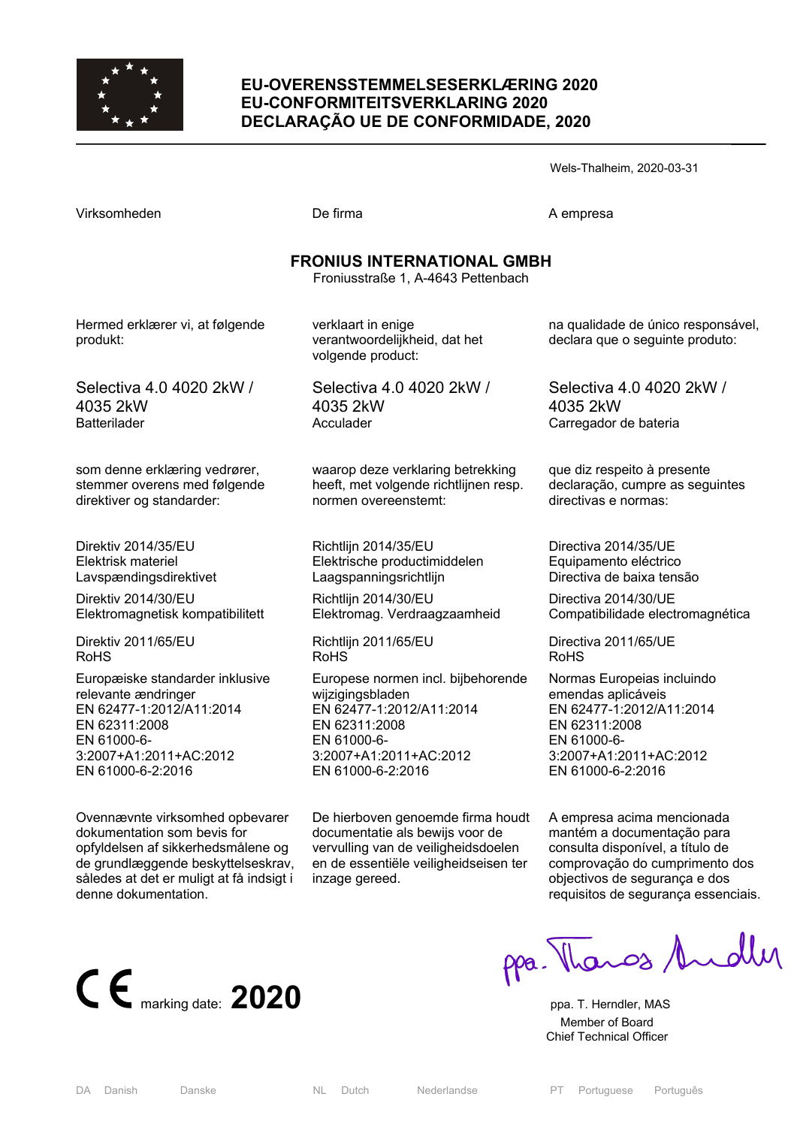

## **EU-OVERENSSTEMMELSESERKLÆRING 2020 EU-CONFORMITEITSVERKLARING 2020 DECLARAÇÃO UE DE CONFORMIDADE, 2020**

Wels-Thalheim, 2020-03-31

| $\epsilon$ |  |  |  |
|------------|--|--|--|

Virksomheden De firma A empresa

# **FRONIUS INTERNATIONAL GMBH**

Froniusstraße 1, A-4643 Pettenbach

Hermed erklærer vi, at følgende produkt:

Selectiva 4.0 4020 2kW / 4035 2kW **Batterilader** 

som denne erklæring vedrører, stemmer overens med følgende direktiver og standarder:

Direktiv 2014/35/EU Elektrisk materiel Lavspændingsdirektivet

Direktiv 2014/30/EU Elektromagnetisk kompatibilitett

Direktiv 2011/65/EU RoHS

Europæiske standarder inklusive relevante ændringer EN 62477-1:2012/A11:2014 EN 62311:2008 EN 61000-6- 3:2007+A1:2011+AC:2012 EN 61000-6-2:2016

Ovennævnte virksomhed opbevarer dokumentation som bevis for opfyldelsen af sikkerhedsmålene og de grundlæggende beskyttelseskrav, således at det er muligt at få indsigt i denne dokumentation.

verantwoordelijkheid, dat het volgende product:

verklaart in enige

Selectiva 4.0 4020 2kW / 4035 2kW Acculader

waarop deze verklaring betrekking heeft, met volgende richtlijnen resp. normen overeenstemt:

Richtlijn 2014/35/EU Elektrische productimiddelen Laagspanningsrichtlijn

Richtlijn 2014/30/EU Elektromag. Verdraagzaamheid

Richtlijn 2011/65/EU RoHS

Europese normen incl. bijbehorende wijzigingsbladen EN 62477-1:2012/A11:2014 EN 62311:2008 EN 61000-6- 3:2007+A1:2011+AC:2012 EN 61000-6-2:2016

De hierboven genoemde firma houdt documentatie als bewijs voor de vervulling van de veiligheidsdoelen en de essentiële veiligheidseisen ter inzage gereed.

na qualidade de único responsável, declara que o seguinte produto:

Selectiva 4.0 4020 2kW / 4035 2kW Carregador de bateria

que diz respeito à presente declaração, cumpre as seguintes directivas e normas:

Directiva 2014/35/UE Equipamento eléctrico Directiva de baixa tensão

Directiva 2014/30/UE Compatibilidade electromagnética

Directiva 2011/65/UE RoHS

Normas Europeias incluindo emendas aplicáveis EN 62477-1:2012/A11:2014 EN 62311:2008 EN 61000-6- 3:2007+A1:2011+AC:2012 EN 61000-6-2:2016

A empresa acima mencionada mantém a documentação para consulta disponível, a título de comprovação do cumprimento dos objectivos de segurança e dos requisitos de segurança essenciais.



ppa. Thanos Andly

 Member of Board Chief Technical Officer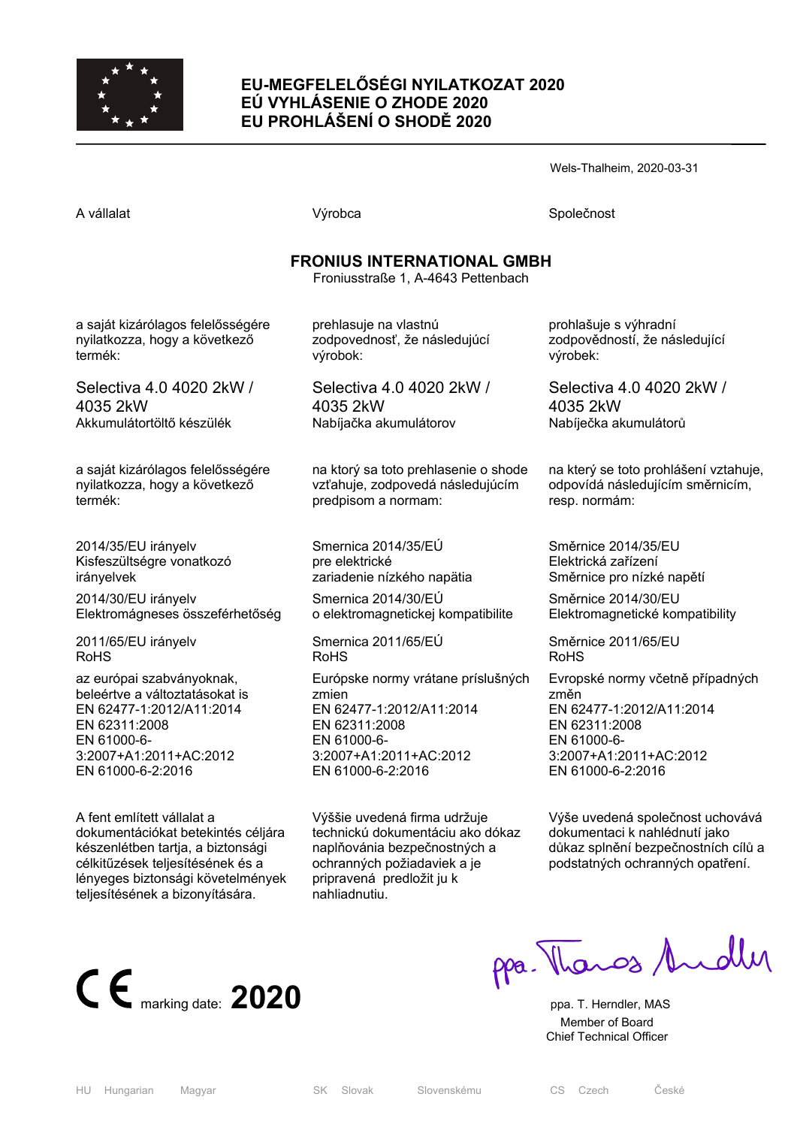

# **EU-MEGFELELŐSÉGI NYILATKOZAT 2020 EÚ VYHLÁSENIE O ZHODE 2020 EU PROHLÁŠENÍ O SHODĚ 2020**

Wels-Thalheim, 2020-03-31

A vállalat **A** vállalat Společnost **Výrobca** Společnost Společnost Společnost Společnost Společnost Společnost Společnost Společnost Společnost Společnost Společnost Společnost Společnost Společnost Společnost Společnost S

# **FRONIUS INTERNATIONAL GMBH**

Froniusstraße 1, A-4643 Pettenbach

a saját kizárólagos felelősségére nyilatkozza, hogy a következő termék:

Selectiva 4.0 4020 2kW / 4035 2kW Akkumulátortöltő készülék

a saját kizárólagos felelősségére nyilatkozza, hogy a következő termék:

2014/35/EU irányelv Kisfeszültségre vonatkozó irányelvek 2014/30/EU irányelv Elektromágneses összeférhetőség

2011/65/EU irányelv RoHS

az európai szabványoknak, beleértve a változtatásokat is EN 62477-1:2012/A11:2014 EN 62311:2008 EN 61000-6- 3:2007+A1:2011+AC:2012 EN 61000-6-2:2016

A fent említett vállalat a dokumentációkat betekintés céljára készenlétben tartja, a biztonsági célkitűzések teljesítésének és a lényeges biztonsági követelmények teljesítésének a bizonyítására.

prehlasuje na vlastnú zodpovednosť, že následujúcí výrobok:

Selectiva 4.0 4020 2kW / 4035 2kW Nabíjačka akumulátorov

na ktorý sa toto prehlasenie o shode vzťahuje, zodpovedá následujúcím predpisom a normam:

Smernica 2014/35/EÚ pre elektrické zariadenie nízkého napätia Smernica 2014/30/EÚ o elektromagnetickej kompatibilite

Smernica 2011/65/EÚ RoHS

Európske normy vrátane príslušných zmien EN 62477-1:2012/A11:2014 EN 62311:2008 EN 61000-6- 3:2007+A1:2011+AC:2012 EN 61000-6-2:2016

Výššie uvedená firma udržuje technickú dokumentáciu ako dókaz naplňovánia bezpečnostných a ochranných požiadaviek a je pripravená predložit ju k nahliadnutiu.

prohlašuje s výhradní zodpovědností, že následující výrobek:

Selectiva 4.0 4020 2kW / 4035 2kW Nabíječka akumulátorů

na který se toto prohlášení vztahuje, odpovídá následujícím směrnicím, resp. normám:

Směrnice 2014/35/EU Elektrická zařízení Směrnice pro nízké napětí

Směrnice 2014/30/EU Elektromagnetické kompatibility

Směrnice 2011/65/EU RoHS

Evropské normy včetně případných změn EN 62477-1:2012/A11:2014 EN 62311:2008 EN 61000-6- 3:2007+A1:2011+AC:2012 EN 61000-6-2:2016

Výše uvedená společnost uchovává dokumentaci k nahlédnutí jako důkaz splnění bezpečnostních cílů a podstatných ochranných opatření.



ppa. Thanos Andles

 Member of Board Chief Technical Officer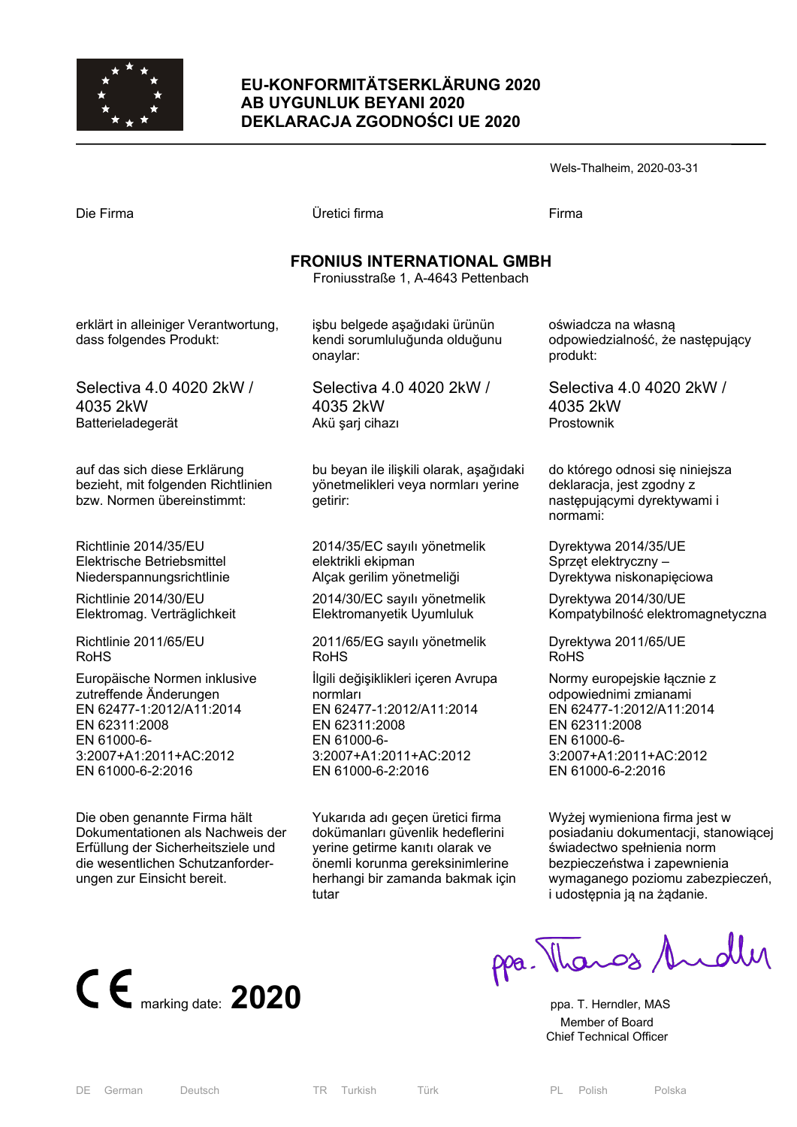

# **EU-KONFORMITÄTSERKLÄRUNG 2020 AB UYGUNLUK BEYANI 2020 DEKLARACJA ZGODNOŚCI UE 2020**

| Wels-Thalheim, 2020-03-31 |  |
|---------------------------|--|
|---------------------------|--|

| Die Firma                                                                                        | Üretici firma                                                                              | Firma                                                                                                   |
|--------------------------------------------------------------------------------------------------|--------------------------------------------------------------------------------------------|---------------------------------------------------------------------------------------------------------|
|                                                                                                  | <b>FRONIUS INTERNATIONAL GMBH</b><br>Froniusstraße 1, A-4643 Pettenbach                    |                                                                                                         |
| erklärt in alleiniger Verantwortung,<br>dass folgendes Produkt:                                  | işbu belgede aşağıdaki ürünün<br>kendi sorumluluğunda olduğunu<br>onaylar:                 | oświadcza na własną<br>odpowiedzialność, że następujący<br>produkt:                                     |
| Selectiva 4.0 4020 2kW /                                                                         | Selectiva 4.0 4020 2kW /                                                                   | Selectiva 4.0 4020 2kW /                                                                                |
| 4035 2kW                                                                                         | 4035 2kW                                                                                   | 4035 2kW                                                                                                |
| Batterieladegerät                                                                                | Akü şarj cihazı                                                                            | Prostownik                                                                                              |
| auf das sich diese Erklärung<br>bezieht, mit folgenden Richtlinien<br>bzw. Normen übereinstimmt: | bu beyan ile ilişkili olarak, aşağıdaki<br>yönetmelikleri veya normları yerine<br>getirir: | do którego odnosi się niniejsza<br>deklaracja, jest zgodny z<br>następującymi dyrektywami i<br>normami: |
| Richtlinie 2014/35/EU                                                                            | 2014/35/EC sayılı yönetmelik                                                               | Dyrektywa 2014/35/UE                                                                                    |
| Elektrische Betriebsmittel                                                                       | elektrikli ekipman                                                                         | Sprzęt elektryczny –                                                                                    |
| Niederspannungsrichtlinie                                                                        | Alçak gerilim yönetmeliği                                                                  | Dyrektywa niskonapięciowa                                                                               |
| Richtlinie 2014/30/EU                                                                            | 2014/30/EC sayılı yönetmelik                                                               | Dyrektywa 2014/30/UE                                                                                    |
| Elektromag. Verträglichkeit                                                                      | Elektromanyetik Uyumluluk                                                                  | Kompatybilność elektromagnetyczna                                                                       |
| Richtlinie 2011/65/EU                                                                            | 2011/65/EG sayılı yönetmelik                                                               | Dyrektywa 2011/65/UE                                                                                    |
| RoHS                                                                                             | <b>RoHS</b>                                                                                | <b>RoHS</b>                                                                                             |
| Europäische Normen inklusive                                                                     | İlgili değişiklikleri içeren Avrupa                                                        | Normy europejskie łącznie z                                                                             |
| zutreffende Änderungen                                                                           | normları                                                                                   | odpowiednimi zmianami                                                                                   |
| EN 62477-1:2012/A11:2014                                                                         | EN 62477-1:2012/A11:2014                                                                   | EN 62477-1:2012/A11:2014                                                                                |
| EN 62311:2008                                                                                    | EN 62311:2008                                                                              | EN 62311:2008                                                                                           |
| EN 61000-6-                                                                                      | EN 61000-6-                                                                                | EN 61000-6-                                                                                             |
| 3:2007+A1:2011+AC:2012                                                                           | 3:2007+A1:2011+AC:2012                                                                     | 3:2007+A1:2011+AC:2012                                                                                  |
| EN 61000-6-2:2016                                                                                | EN 61000-6-2:2016                                                                          | EN 61000-6-2:2016                                                                                       |
| Die oben genannte Firma hält                                                                     | Yukarıda adı geçen üretici firma                                                           | Wyżej wymieniona firma jest w                                                                           |

Dokumentationen als Nachweis der Erfüllung der Sicherheitsziele und die wesentlichen Schutzanforderungen zur Einsicht bereit.

dokümanları güvenlik hedeflerini yerine getirme kanıtı olarak ve önemli korunma gereksinimlerine herhangi bir zamanda bakmak için tutar

Wyżej wymieniona firma jest w posiadaniu dokumentacji, stanowiącej świadectwo spełnienia norm bezpieczeństwa i zapewnienia wymaganego poziomu zabezpieczeń, i udostępnia ją na żądanie.



ppa. Thangs Andly

 Member of Board Chief Technical Officer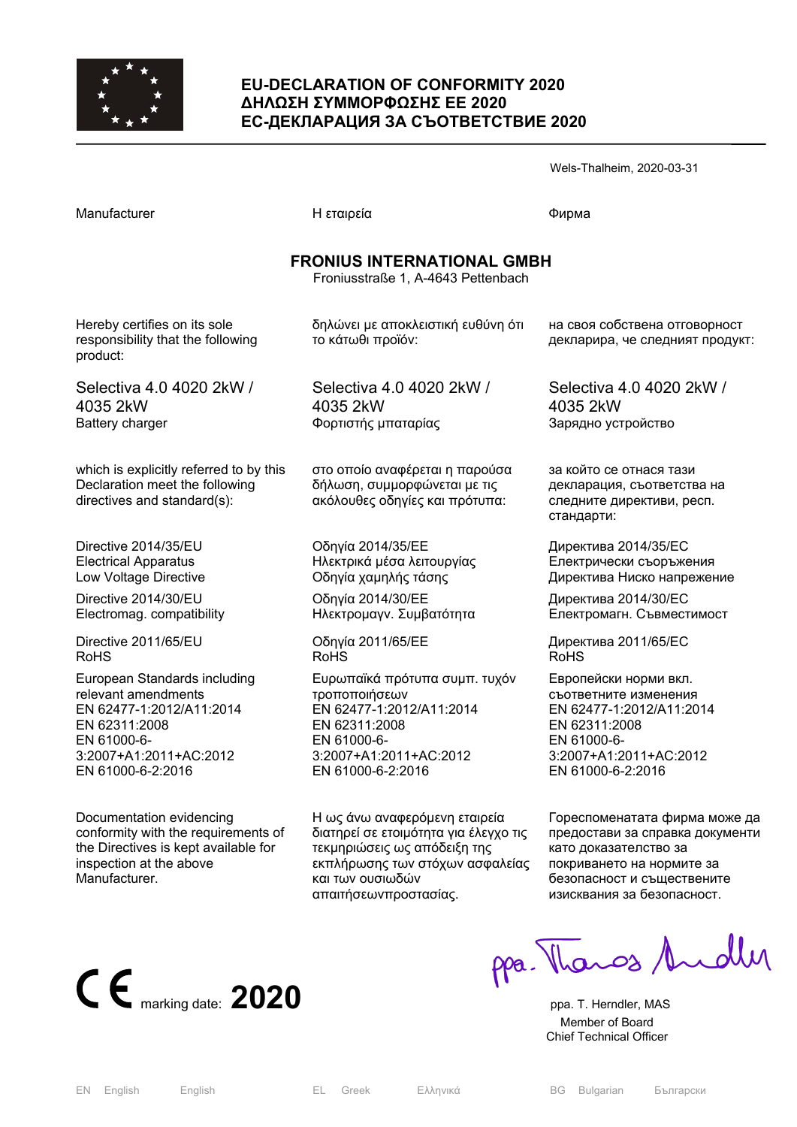

## **EU-DECLARATION OF CONFORMITY 2020 ΔΗΛΩΣΗ ΣΥΜΜΟΡΦΩΣΗΣ ΕΕ 2020 ЕС-ДЕКЛАРАЦИЯ ЗА СЪОТВЕТСТВИЕ 2020**

|                                                                                                                                                                |                                                                                                                                                           | Wels-Thalheim, 2020-03-31                                                                                                                                 |
|----------------------------------------------------------------------------------------------------------------------------------------------------------------|-----------------------------------------------------------------------------------------------------------------------------------------------------------|-----------------------------------------------------------------------------------------------------------------------------------------------------------|
| Manufacturer                                                                                                                                                   | Η εταιρεία                                                                                                                                                | Фирма                                                                                                                                                     |
|                                                                                                                                                                | <b>FRONIUS INTERNATIONAL GMBH</b><br>Froniusstraße 1, A-4643 Pettenbach                                                                                   |                                                                                                                                                           |
| Hereby certifies on its sole<br>responsibility that the following<br>product:                                                                                  | δηλώνει με αποκλειστική ευθύνη ότι<br>το κάτωθι προϊόν:                                                                                                   | на своя собствена отговорност<br>декларира, че следният продукт:                                                                                          |
| Selectiva 4.0 4020 2kW /<br>4035 2kW<br>Battery charger                                                                                                        | Selectiva 4.0 4020 2kW /<br>4035 2kW<br>Φορτιστής μπαταρίας                                                                                               | Selectiva 4.0 4020 2kW /<br>4035 2kW<br>Зарядно устройство                                                                                                |
| which is explicitly referred to by this<br>Declaration meet the following<br>directives and standard(s):                                                       | στο οποίο αναφέρεται η παρούσα<br>δήλωση, συμμορφώνεται με τις<br>ακόλουθες οδηγίες και πρότυπα:                                                          | за който се отнася тази<br>декларация, съответства на<br>следните директиви, респ.<br>стандарти:                                                          |
| Directive 2014/35/EU<br><b>Electrical Apparatus</b><br>Low Voltage Directive<br>Directive 2014/30/EU<br>Electromag. compatibility                              | Οδηγία 2014/35/ΕΕ<br>Ηλεκτρικά μέσα λειτουργίας<br>Οδηγία χαμηλής τάσης<br>Οδηγία 2014/30/ΕΕ<br>Ηλεκτρομαγν. Συμβατότητα                                  | Директива 2014/35/EC<br>Електрически съоръжения<br>Директива Ниско напрежение<br>Директива 2014/30/ЕС<br>Електромагн. Съвместимост                        |
| Directive 2011/65/EU<br><b>RoHS</b>                                                                                                                            | Οδηγία 2011/65/ΕΕ<br><b>RoHS</b>                                                                                                                          | Директива 2011/65/ЕС<br>RoHS                                                                                                                              |
| European Standards including<br>relevant amendments<br>EN 62477-1:2012/A11:2014<br>EN 62311:2008<br>EN 61000-6-<br>3:2007+A1:2011+AC:2012<br>EN 61000-6-2:2016 | Ευρωπαϊκά πρότυπα συμπ. τυχόν<br>τροποποιήσεων<br>EN 62477-1:2012/A11:2014<br>EN 62311:2008<br>EN 61000-6-<br>3:2007+A1:2011+AC:2012<br>EN 61000-6-2:2016 | Европейски норми вкл.<br>съответните изменения<br>EN 62477-1:2012/A11:2014<br>EN 62311:2008<br>EN 61000-6-<br>3:2007+A1:2011+AC:2012<br>EN 61000-6-2:2016 |
| Documentation evidencing                                                                                                                                       | Η ως άνω αναφερόμενη εταιρεία                                                                                                                             | Гореспоменатата фирма може да                                                                                                                             |

conformity with the requirements of the Directives is kept available for inspection at the above Manufacturer.

διατηρεί σε ετοιμότητα για έλεγχο τις τεκμηριώσεις ως απόδειξη της εκπλήρωσης των στόχων ασφαλείας και των ουσιωδών απαιτήσεωνπροστασίας.

предостави за справка документи като доказателство за покриването на нормите за безопасност и съществените изисквания за безопасност.



CE marking date: 2020 PPa. Therndler, MAS

 Member of Board Chief Technical Officer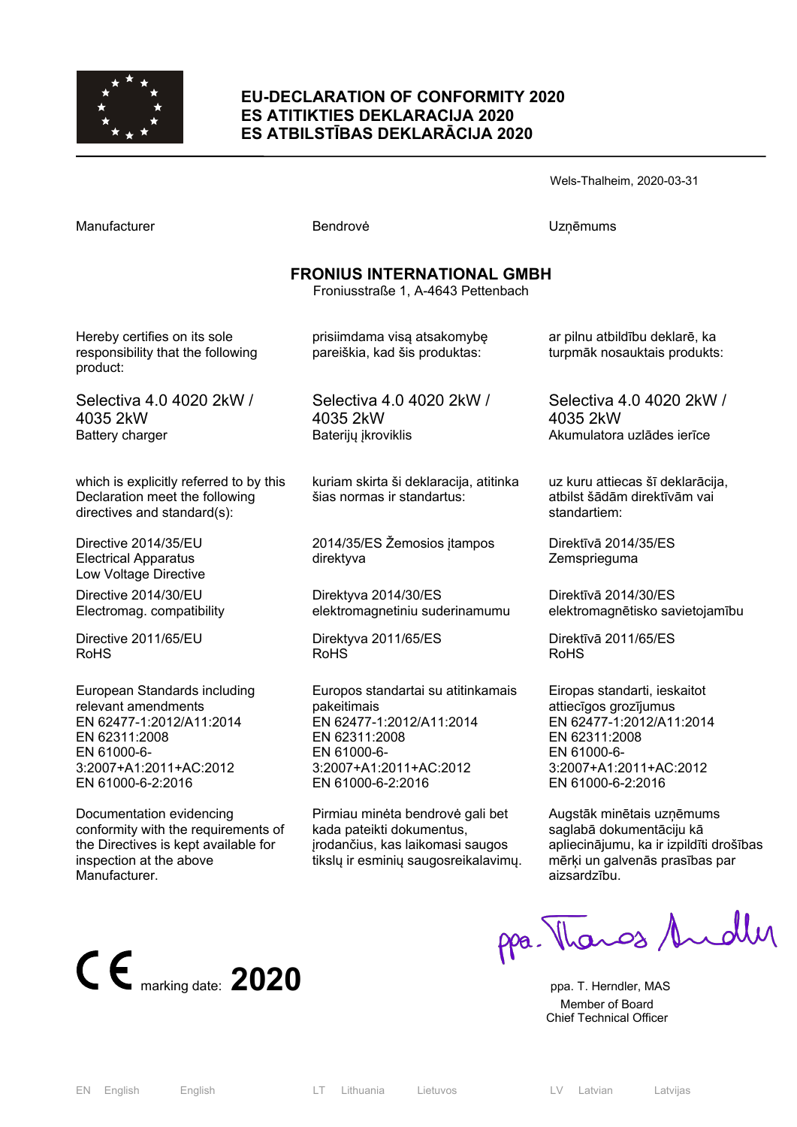

#### **EU-DECLARATION OF CONFORMITY 2020 ES ATITIKTIES DEKLARACIJA 2020 ES ATBILSTĪBAS DEKLARĀCIJA 2020**

Wels-Thalheim, 2020-03-31

Manufacturer **Manufacturer Execute UZņēmums** Bendrovė **UZņēmums** 

## **FRONIUS INTERNATIONAL GMBH**

Froniusstraße 1, A-4643 Pettenbach

Hereby certifies on its sole responsibility that the following product:

Selectiva 4.0 4020 2kW / 4035 2kW Battery charger

which is explicitly referred to by this Declaration meet the following directives and standard(s):

Directive 2014/35/EU Electrical Apparatus Low Voltage Directive

Directive 2014/30/EU Electromag. compatibility

Directive 2011/65/EU RoHS

European Standards including relevant amendments EN 62477-1:2012/A11:2014 EN 62311:2008 EN 61000-6- 3:2007+A1:2011+AC:2012 EN 61000-6-2:2016

Documentation evidencing conformity with the requirements of the Directives is kept available for inspection at the above **Manufacturer** 

prisiimdama visą atsakomybę pareiškia, kad šis produktas:

Selectiva 4.0 4020 2kW / 4035 2kW Baterijų įkroviklis

kuriam skirta ši deklaracija, atitinka šias normas ir standartus:

2014/35/ES Žemosios įtampos direktyva

Direktyva 2014/30/ES elektromagnetiniu suderinamumu

Direktyva 2011/65/ES RoHS

Europos standartai su atitinkamais pakeitimais EN 62477-1:2012/A11:2014 EN 62311:2008 EN 61000-6- 3:2007+A1:2011+AC:2012 EN 61000-6-2:2016

Pirmiau minėta bendrovė gali bet kada pateikti dokumentus, įrodančius, kas laikomasi saugos tikslų ir esminių saugosreikalavimų. ar pilnu atbildību deklarē, ka turpmāk nosauktais produkts:

Selectiva 4.0 4020 2kW / 4035 2kW Akumulatora uzlādes ierīce

uz kuru attiecas šī deklarācija, atbilst šādām direktīvām vai standartiem:

Direktīvā 2014/35/ES **Zemsprieguma** 

Direktīvā 2014/30/ES elektromagnētisko savietojamību

Direktīvā 2011/65/ES RoHS

Eiropas standarti, ieskaitot attiecīgos grozījumus EN 62477-1:2012/A11:2014 EN 62311:2008 EN 61000-6- 3:2007+A1:2011+AC:2012 EN 61000-6-2:2016

Augstāk minētais uzņēmums saglabā dokumentāciju kā apliecinājumu, ka ir izpildīti drošības mērķi un galvenās prasības par aizsardzību.

ppa. Thangs Andly  $\mathsf{C}\in$  marking date: **2020** ppa. T. Herndler, MAS

 Member of Board Chief Technical Officer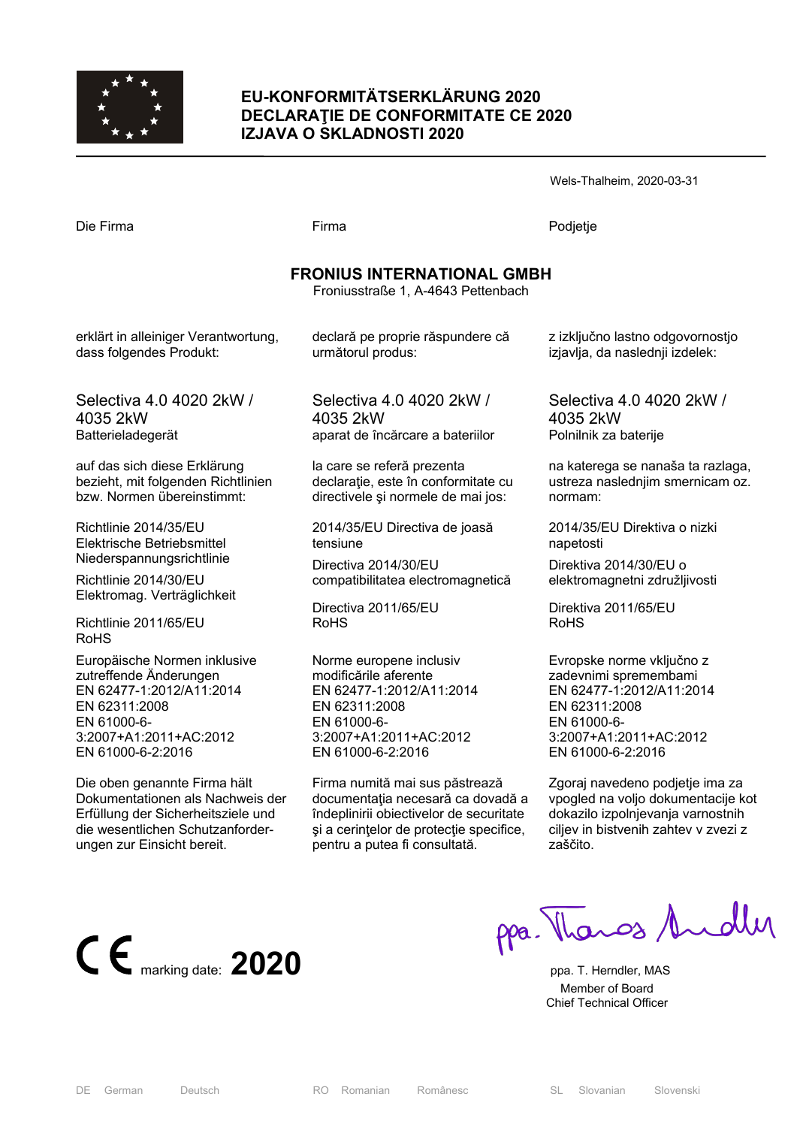

## **EU-KONFORMITÄTSERKLÄRUNG 2020 DECLARAŢIE DE CONFORMITATE CE 2020 IZJAVA O SKLADNOSTI 2020**

Wels-Thalheim, 2020-03-31

Die Firma Firma Podjetje

# **FRONIUS INTERNATIONAL GMBH**

Froniusstraße 1, A-4643 Pettenbach

erklärt in alleiniger Verantwortung, dass folgendes Produkt:

Selectiva 4.0 4020 2kW / 4035 2kW Batterieladegerät

auf das sich diese Erklärung bezieht, mit folgenden Richtlinien bzw. Normen übereinstimmt:

Richtlinie 2014/35/EU Elektrische Betriebsmittel Niederspannungsrichtlinie

Richtlinie 2014/30/EU Elektromag. Verträglichkeit

Richtlinie 2011/65/EU RoHS

Europäische Normen inklusive zutreffende Änderungen EN 62477-1:2012/A11:2014 EN 62311:2008 EN 61000-6- 3:2007+A1:2011+AC:2012 EN 61000-6-2:2016

Die oben genannte Firma hält Dokumentationen als Nachweis der Erfüllung der Sicherheitsziele und die wesentlichen Schutzanforderungen zur Einsicht bereit.

declară pe proprie răspundere că următorul produs:

Selectiva 4.0 4020 2kW / 4035 2kW aparat de încărcare a bateriilor

la care se referă prezenta declaraţie, este în conformitate cu directivele şi normele de mai jos:

2014/35/EU Directiva de joasă tensiune

Directiva 2014/30/EU compatibilitatea electromagnetică

Directiva 2011/65/EU RoHS

Norme europene inclusiv modificările aferente EN 62477-1:2012/A11:2014 EN 62311:2008 EN 61000-6- 3:2007+A1:2011+AC:2012 EN 61000-6-2:2016

Firma numită mai sus păstrează documentaţia necesară ca dovadă a îndeplinirii obiectivelor de securitate si a cerintelor de protectie specifice. pentru a putea fi consultată.

z izključno lastno odgovornostjo izjavlja, da naslednji izdelek:

Selectiva 4.0 4020 2kW / 4035 2kW Polnilnik za baterije

na katerega se nanaša ta razlaga, ustreza naslednjim smernicam oz. normam:

2014/35/EU Direktiva o nizki napetosti

Direktiva 2014/30/EU o elektromagnetni združljivosti

Direktiva 2011/65/EU RoHS

Evropske norme vključno z zadevnimi spremembami EN 62477-1:2012/A11:2014 EN 62311:2008 EN 61000-6- 3:2007+A1:2011+AC:2012 EN 61000-6-2:2016

Zgoraj navedeno podjetje ima za vpogled na voljo dokumentacije kot dokazilo izpolnjevanja varnostnih ciliev in bistvenih zahtev v zvezi z zaščito.



ppa. Thangs Andley

 Member of Board Chief Technical Officer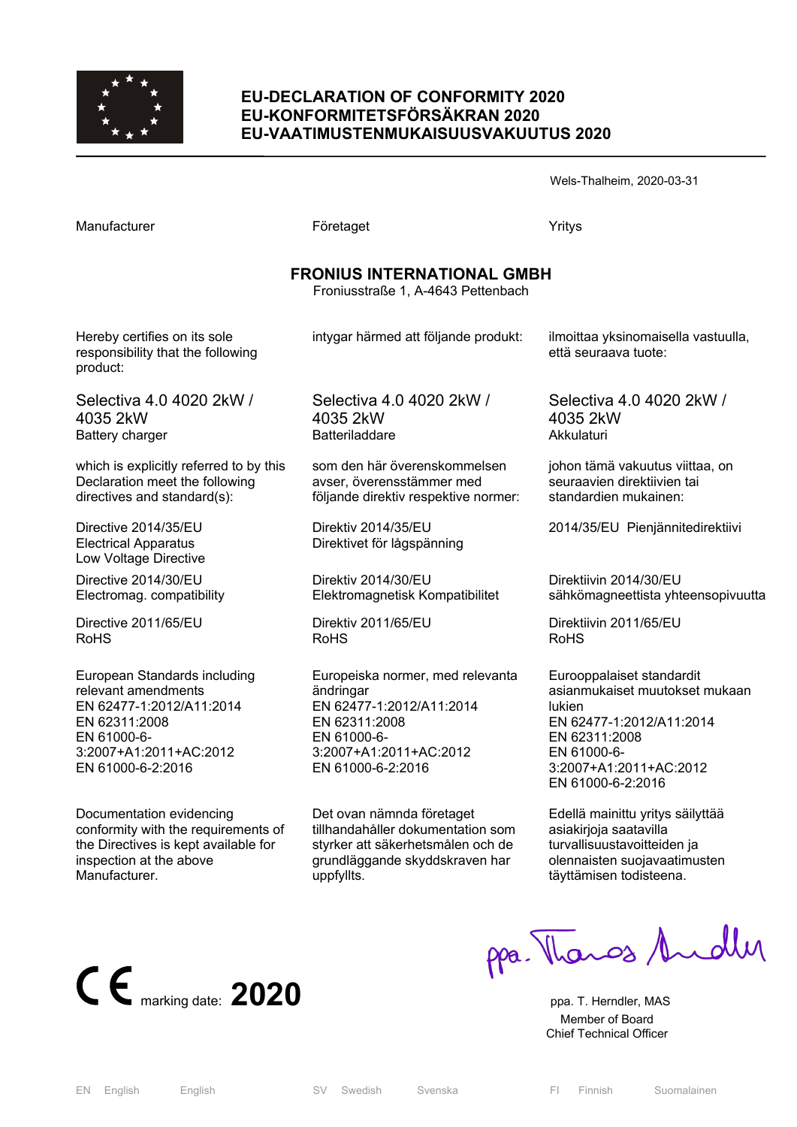

Directive 2014/35/EU Electrical Apparatus Low Voltage Directive Directive 2014/30/EU Electromag. compatibility

Directive 2011/65/EU

relevant amendments EN 62477-1:2012/A11:2014

EN 62311:2008 EN 61000-6-

European Standards including

3:2007+A1:2011+AC:2012 EN 61000-6-2:2016

Documentation evidencing

inspection at the above

**Manufacturer** 

conformity with the requirements of the Directives is kept available for

RoHS

#### **EU-DECLARATION OF CONFORMITY 2020 EU-KONFORMITETSFÖRSÄKRAN 2020 EU-VAATIMUSTENMUKAISUUSVAKUUTUS 2020**

Wels-Thalheim, 2020-03-31

**FRONIUS INTERNATIONAL GMBH**  Froniusstraße 1, A-4643 Pettenbach Hereby certifies on its sole responsibility that the following product: Selectiva 4.0 4020 2kW / 4035 2kW Battery charger which is explicitly referred to by this Declaration meet the following directives and standard(s): intygar härmed att följande produkt: Selectiva 4.0 4020 2kW / 4035 2kW Batteriladdare som den här överenskommelsen avser, överensstämmer med följande direktiv respektive normer:

Manufacturer **Företaget** Företaget Yritys

Direktiv 2014/35/EU Direktivet för lågspänning

Direktiv 2014/30/EU Elektromagnetisk Kompatibilitet

Direktiv 2011/65/EU RoHS

Europeiska normer, med relevanta ändringar EN 62477-1:2012/A11:2014 EN 62311:2008 EN 61000-6- 3:2007+A1:2011+AC:2012 EN 61000-6-2:2016

Det ovan nämnda företaget tillhandahåller dokumentation som styrker att säkerhetsmålen och de grundläggande skyddskraven har uppfyllts.

ilmoittaa yksinomaisella vastuulla, että seuraava tuote:

Selectiva 4.0 4020 2kW / 4035 2kW Akkulaturi

johon tämä vakuutus viittaa, on seuraavien direktiivien tai standardien mukainen:

2014/35/EU Pienjännitedirektiivi

Direktiivin 2014/30/EU sähkömagneettista yhteensopivuutta

Direktiivin 2011/65/EU RoHS

Eurooppalaiset standardit asianmukaiset muutokset mukaan lukien EN 62477-1:2012/A11:2014 EN 62311:2008 EN 61000-6- 3:2007+A1:2011+AC:2012 EN 61000-6-2:2016

Edellä mainittu yritys säilyttää asiakirjoja saatavilla turvallisuustavoitteiden ja olennaisten suojavaatimusten täyttämisen todisteena.



ppa. Thangs Andly

 Member of Board Chief Technical Officer